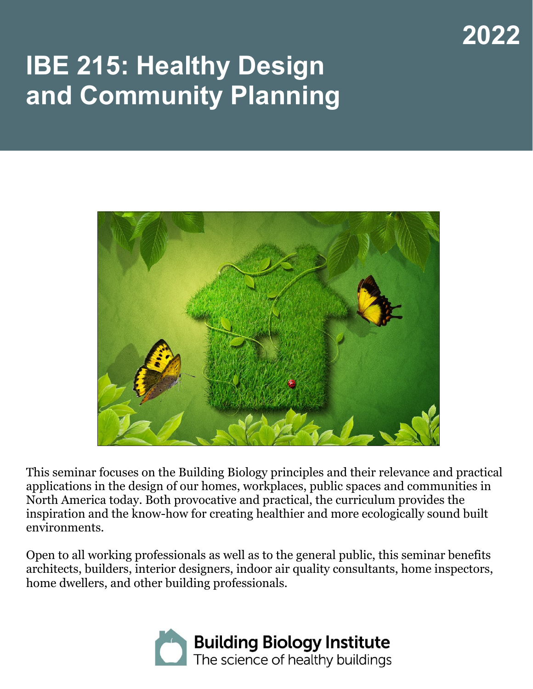# **2022**

# **IBE 215: Healthy Design and Community Planning**



This seminar focuses on the Building Biology principles and their relevance and practical applications in the design of our homes, workplaces, public spaces and communities in North America today. Both provocative and practical, the curriculum provides the inspiration and the know-how for creating healthier and more ecologically sound built environments.

Open to all working professionals as well as to the general public, this seminar benefits architects, builders, interior designers, indoor air quality consultants, home inspectors, home dwellers, and other building professionals.

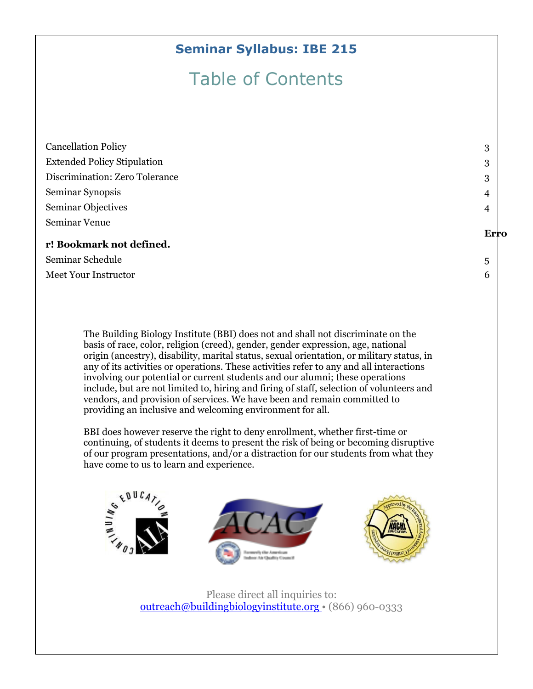#### **Seminar Syllabus: IBE 215**

# Table of Contents

| <b>Cancellation Policy</b>         | 3    |
|------------------------------------|------|
| <b>Extended Policy Stipulation</b> | 3    |
| Discrimination: Zero Tolerance     | 3    |
| Seminar Synopsis                   | 4    |
| Seminar Objectives                 | 4    |
| Seminar Venue                      |      |
|                                    | Erro |
| r! Bookmark not defined.           |      |
| Seminar Schedule                   | 5    |
| <b>Meet Your Instructor</b>        | 6    |
|                                    |      |

The Building Biology Institute (BBI) does not and shall not discriminate on the basis of race, color, religion (creed), gender, gender expression, age, national origin (ancestry), disability, marital status, sexual orientation, or military status, in any of its activities or operations. These activities refer to any and all interactions involving our potential or current students and our alumni; these operations include, but are not limited to, hiring and firing of staff, selection of volunteers and vendors, and provision of services. We have been and remain committed to providing an inclusive and welcoming environment for all.

BBI does however reserve the right to deny enrollment, whether first-time or continuing, of students it deems to present the risk of being or becoming disruptive of our program presentations, and/or a distraction for our students from what they have come to us to learn and experience.



Please direct all inquiries to: [outreach@buildingbiologyinstitute.org](mailto:outreach@buildingbiologyinstitute.org) • (866) 960-0333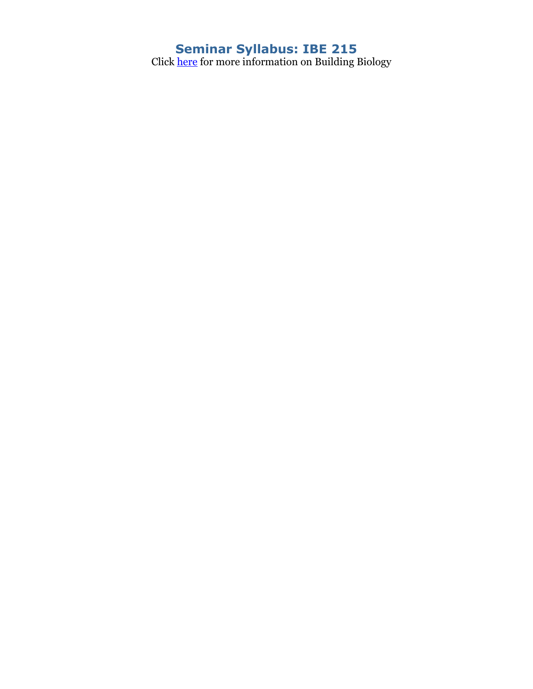#### **Seminar Syllabus: IBE 215**

Click <u>here</u> for more information on Building Biology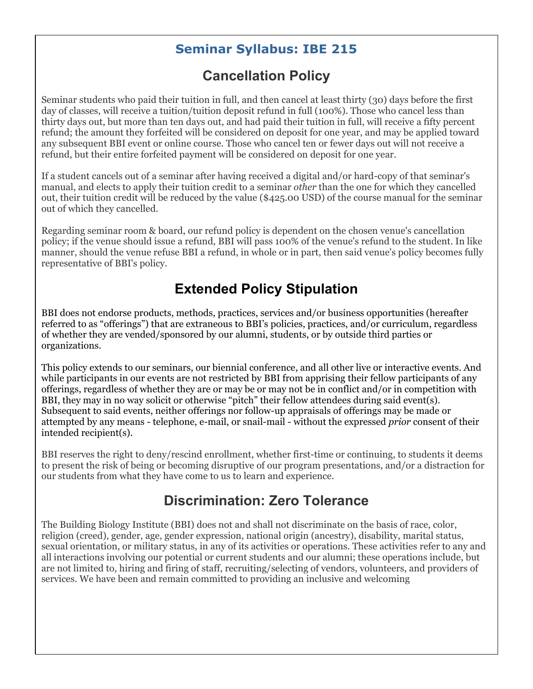#### **Seminar Syllabus: IBE 215**

# **Cancellation Policy**

<span id="page-3-0"></span>Seminar students who paid their tuition in full, and then cancel at least thirty (30) days before the first day of classes, will receive a tuition/tuition deposit refund in full (100%). Those who cancel less than thirty days out, but more than ten days out, and had paid their tuition in full, will receive a fifty percent refund; the amount they forfeited will be considered on deposit for one year, and may be applied toward any subsequent BBI event or online course. Those who cancel ten or fewer days out will not receive a refund, but their entire forfeited payment will be considered on deposit for one year.

If a student cancels out of a seminar after having received a digital and/or hard-copy of that seminar's manual, and elects to apply their tuition credit to a seminar *other* than the one for which they cancelled out, their tuition credit will be reduced by the value (\$425.00 USD) of the course manual for the seminar out of which they cancelled.

Regarding seminar room & board, our refund policy is dependent on the chosen venue's cancellation policy; if the venue should issue a refund, BBI will pass 100% of the venue's refund to the student. In like manner, should the venue refuse BBI a refund, in whole or in part, then said venue's policy becomes fully representative of BBI's policy.

# **Extended Policy Stipulation**

<span id="page-3-1"></span>BBI does not endorse products, methods, practices, services and/or business opportunities (hereafter referred to as "offerings") that are extraneous to BBI's policies, practices, and/or curriculum, regardless of whether they are vended/sponsored by our alumni, students, or by outside third parties or organizations.

This policy extends to our seminars, our biennial conference, and all other live or interactive events. And while participants in our events are not restricted by BBI from apprising their fellow participants of any offerings, regardless of whether they are or may be or may not be in conflict and/or in competition with BBI, they may in no way solicit or otherwise "pitch" their fellow attendees during said event(s). Subsequent to said events, neither offerings nor follow-up appraisals of offerings may be made or attempted by any means - telephone, e-mail, or snail-mail - without the expressed *prior* consent of their intended recipient(s).

BBI reserves the right to deny/rescind enrollment, whether first-time or continuing, to students it deems to present the risk of being or becoming disruptive of our program presentations, and/or a distraction for our students from what they have come to us to learn and experience.

#### **Discrimination: Zero Tolerance**

<span id="page-3-2"></span>The Building Biology Institute (BBI) does not and shall not discriminate on the basis of race, color, religion (creed), gender, age, gender expression, national origin (ancestry), disability, marital status, sexual orientation, or military status, in any of its activities or operations. These activities refer to any and all interactions involving our potential or current students and our alumni; these operations include, but are not limited to, hiring and firing of staff, recruiting/selecting of vendors, volunteers, and providers of services. We have been and remain committed to providing an inclusive and welcoming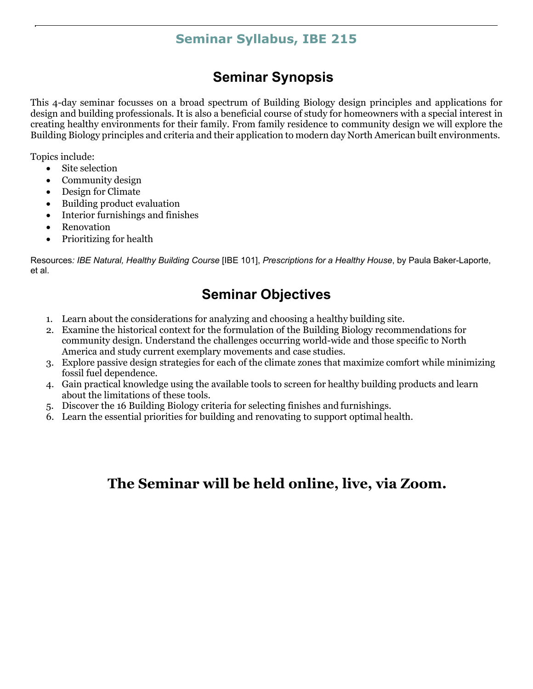#### **Seminar Syllabus, IBE 215**

## **Seminar Synopsis**

<span id="page-5-0"></span>This 4-day seminar focusses on a broad spectrum of Building Biology design principles and applications for design and building professionals. It is also a beneficial course of study for homeowners with a special interest in creating healthy environments for their family. From family residence to community design we will explore the Building Biology principles and criteria and their application to modern day North American built environments.

Topics include:

- Site selection
- Community design
- Design for Climate
- Building product evaluation
- Interior furnishings and finishes
- **Renovation**
- Prioritizing for health

<span id="page-5-1"></span>Resources*: IBE Natural, Healthy Building Course* [IBE 101], *Prescriptions for a Healthy House*, by Paula Baker-Laporte, et al.

# **Seminar Objectives**

- 1. Learn about the considerations for analyzing and choosing a healthy building site.
- 2. Examine the historical context for the formulation of the Building Biology recommendations for community design. Understand the challenges occurring world-wide and those specific to North America and study current exemplary movements and case studies.
- 3. Explore passive design strategies for each of the climate zones that maximize comfort while minimizing fossil fuel dependence.
- 4. Gain practical knowledge using the available tools to screen for healthy building products and learn about the limitations of these tools.
- 5. Discover the 16 Building Biology criteria for selecting finishes and furnishings.
- 6. Learn the essential priorities for building and renovating to support optimal health.

# **The Seminar will be held online, live, via Zoom.**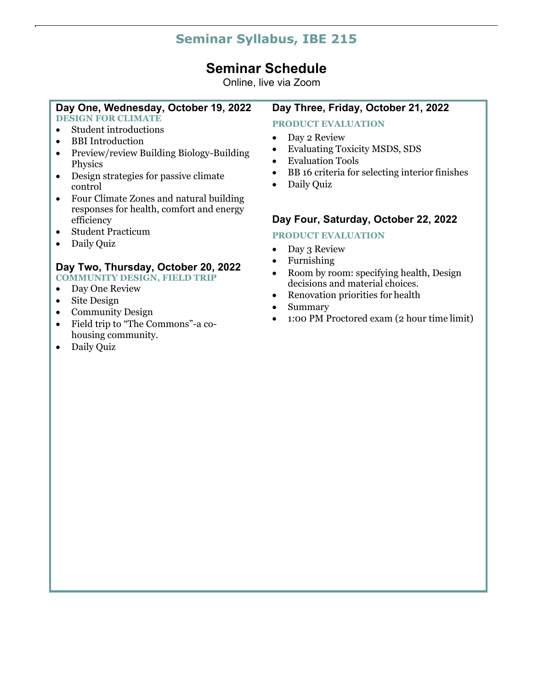### **Seminar Syllabus, IBE 215**

#### **Seminar Schedule**

Online, live via Zoom

#### <span id="page-6-0"></span>**Day One, Wednesday, October 19, 2022**

**DESIGN FOR CLIMATE**

- Student introductions
- BBI Introduction
- Preview/review Building Biology-Building Physics
- Design strategies for passive climate control
- Four Climate Zones and natural building responses for health, comfort and energy efficiency
- Student Practicum
- Daily Quiz

#### **Day Two, Thursday, October 20, 2022 COMMUNITY DESIGN, FIELD TRIP**

• Day One Review

- Site Design
- 
- Community Design
- Field trip to "The Commons"-a cohousing community.
- Daily Quiz

#### **Day Three, Friday, October 21, 2022**

#### **PRODUCT EVALUATION**

- Day 2 Review
- Evaluating Toxicity MSDS, SDS
- Evaluation Tools
- BB 16 criteria for selecting interior finishes
- Daily Quiz

#### **Day Four, Saturday, October 22, 2022**

#### **PRODUCT EVALUATION**

- Day 3 Review
- Furnishing
- Room by room: specifying health, Design decisions and material choices.
- Renovation priorities for health
- Summary
- 1:00 PM Proctored exam (2 hour time limit)